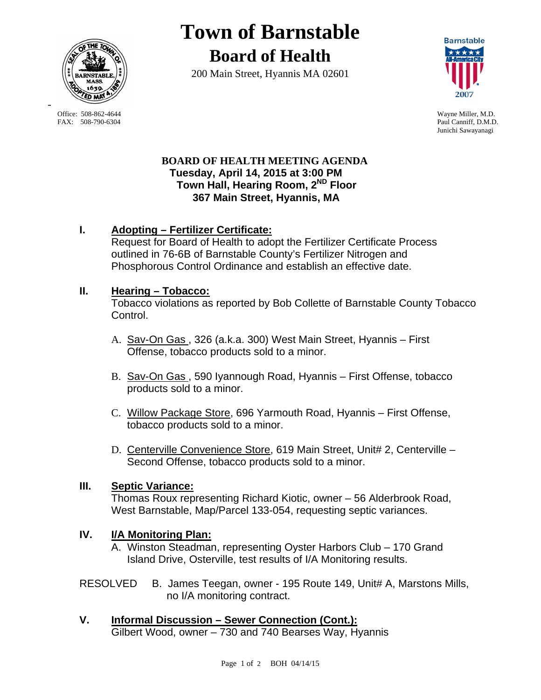

**Town of Barnstable Board of Health**

200 Main Street, Hyannis MA 02601



Paul Canniff, D.M.D. Junichi Sawayanagi

## **BOARD OF HEALTH MEETING AGENDA Tuesday, April 14, 2015 at 3:00 PM Town Hall, Hearing Room, 2ND Floor 367 Main Street, Hyannis, MA**

# **I. Adopting – Fertilizer Certificate:**

Request for Board of Health to adopt the Fertilizer Certificate Process outlined in 76-6B of Barnstable County's Fertilizer Nitrogen and Phosphorous Control Ordinance and establish an effective date.

# **II. Hearing – Tobacco:**

Tobacco violations as reported by Bob Collette of Barnstable County Tobacco Control.

- A. Sav-On Gas., 326 (a.k.a. 300) West Main Street, Hyannis First Offense, tobacco products sold to a minor.
- B. Sav-On Gas , 590 Iyannough Road, Hyannis First Offense, tobacco products sold to a minor.
- C. Willow Package Store, 696 Yarmouth Road, Hyannis First Offense, tobacco products sold to a minor.
- D. Centerville Convenience Store, 619 Main Street, Unit# 2, Centerville Second Offense, tobacco products sold to a minor.

## **III. Septic Variance:**

Thomas Roux representing Richard Kiotic, owner – 56 Alderbrook Road, West Barnstable, Map/Parcel 133-054, requesting septic variances.

# **IV. I/A Monitoring Plan:**

A. Winston Steadman, representing Oyster Harbors Club – 170 Grand Island Drive, Osterville, test results of I/A Monitoring results.

- RESOLVED B. James Teegan, owner 195 Route 149, Unit# A, Marstons Mills, no I/A monitoring contract.
- **V. Informal Discussion Sewer Connection (Cont.):** Gilbert Wood, owner – 730 and 740 Bearses Way, Hyannis

Office: 508-862-4644 Wayne Miller, M.D.<br>
FAX: 508-790-6304 Paul Canniff. D.M.D

-